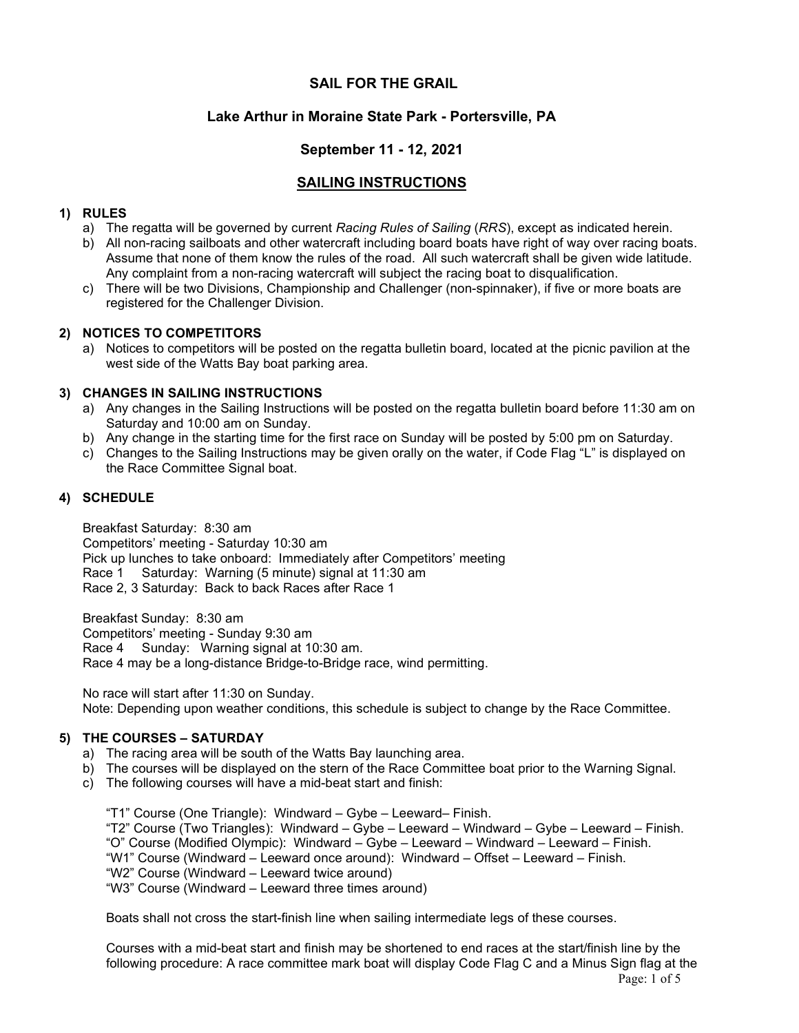## SAIL FOR THE GRAIL

## Lake Arthur in Moraine State Park - Portersville, PA

## September 11 - 12, 2021

# SAILING INSTRUCTIONS

#### 1) RULES

- a) The regatta will be governed by current Racing Rules of Sailing (RRS), except as indicated herein.
- b) All non-racing sailboats and other watercraft including board boats have right of way over racing boats. Assume that none of them know the rules of the road. All such watercraft shall be given wide latitude. Any complaint from a non-racing watercraft will subject the racing boat to disqualification.
- c) There will be two Divisions, Championship and Challenger (non-spinnaker), if five or more boats are registered for the Challenger Division.

### 2) NOTICES TO COMPETITORS

a) Notices to competitors will be posted on the regatta bulletin board, located at the picnic pavilion at the west side of the Watts Bay boat parking area.

### 3) CHANGES IN SAILING INSTRUCTIONS

- a) Any changes in the Sailing Instructions will be posted on the regatta bulletin board before 11:30 am on Saturday and 10:00 am on Sunday.
- b) Any change in the starting time for the first race on Sunday will be posted by 5:00 pm on Saturday.
- c) Changes to the Sailing Instructions may be given orally on the water, if Code Flag "L" is displayed on the Race Committee Signal boat.

### 4) SCHEDULE

Breakfast Saturday: 8:30 am Competitors' meeting - Saturday 10:30 am Pick up lunches to take onboard: Immediately after Competitors' meeting Race 1 Saturday: Warning (5 minute) signal at 11:30 am Race 2, 3 Saturday: Back to back Races after Race 1

Breakfast Sunday: 8:30 am Competitors' meeting - Sunday 9:30 am Race 4 Sunday: Warning signal at 10:30 am. Race 4 may be a long-distance Bridge-to-Bridge race, wind permitting.

No race will start after 11:30 on Sunday. Note: Depending upon weather conditions, this schedule is subject to change by the Race Committee.

#### 5) THE COURSES – SATURDAY

- a) The racing area will be south of the Watts Bay launching area.
- b) The courses will be displayed on the stern of the Race Committee boat prior to the Warning Signal.
- c) The following courses will have a mid-beat start and finish:

"T1" Course (One Triangle): Windward – Gybe – Leeward– Finish. "T2" Course (Two Triangles): Windward – Gybe – Leeward – Windward – Gybe – Leeward – Finish. "O" Course (Modified Olympic): Windward – Gybe – Leeward – Windward – Leeward – Finish. "W1" Course (Windward – Leeward once around): Windward – Offset – Leeward – Finish. "W2" Course (Windward – Leeward twice around) "W3" Course (Windward – Leeward three times around)

Boats shall not cross the start-finish line when sailing intermediate legs of these courses.

Courses with a mid-beat start and finish may be shortened to end races at the start/finish line by the following procedure: A race committee mark boat will display Code Flag C and a Minus Sign flag at the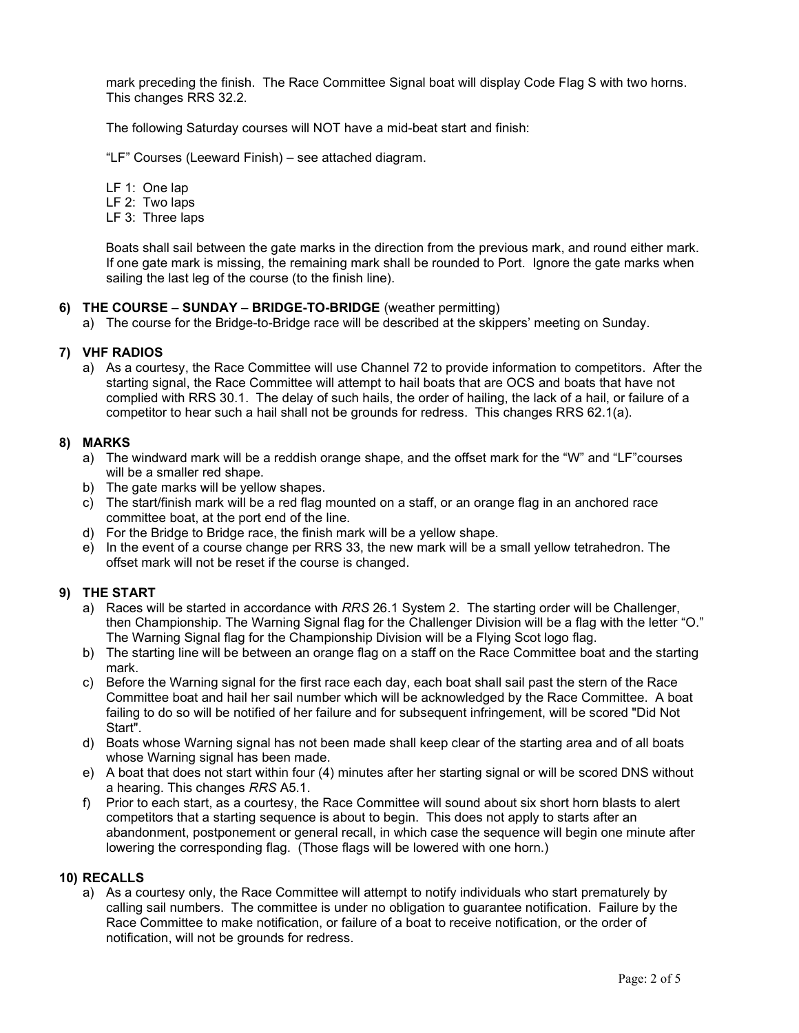mark preceding the finish. The Race Committee Signal boat will display Code Flag S with two horns. This changes RRS 32.2.

The following Saturday courses will NOT have a mid-beat start and finish:

"LF" Courses (Leeward Finish) – see attached diagram.

LF 1: One lap

- LF 2: Two laps
- LF 3: Three laps

 Boats shall sail between the gate marks in the direction from the previous mark, and round either mark. If one gate mark is missing, the remaining mark shall be rounded to Port. Ignore the gate marks when sailing the last leg of the course (to the finish line).

### 6) THE COURSE – SUNDAY – BRIDGE-TO-BRIDGE (weather permitting)

a) The course for the Bridge-to-Bridge race will be described at the skippers' meeting on Sunday.

### 7) VHF RADIOS

a) As a courtesy, the Race Committee will use Channel 72 to provide information to competitors. After the starting signal, the Race Committee will attempt to hail boats that are OCS and boats that have not complied with RRS 30.1. The delay of such hails, the order of hailing, the lack of a hail, or failure of a competitor to hear such a hail shall not be grounds for redress. This changes RRS 62.1(a).

#### 8) MARKS

- a) The windward mark will be a reddish orange shape, and the offset mark for the "W" and "LF"courses will be a smaller red shape.
- b) The gate marks will be yellow shapes.
- c) The start/finish mark will be a red flag mounted on a staff, or an orange flag in an anchored race committee boat, at the port end of the line.
- d) For the Bridge to Bridge race, the finish mark will be a yellow shape.
- e) In the event of a course change per RRS 33, the new mark will be a small yellow tetrahedron. The offset mark will not be reset if the course is changed.

## 9) THE START

- a) Races will be started in accordance with RRS 26.1 System 2. The starting order will be Challenger, then Championship. The Warning Signal flag for the Challenger Division will be a flag with the letter "O." The Warning Signal flag for the Championship Division will be a Flying Scot logo flag.
- b) The starting line will be between an orange flag on a staff on the Race Committee boat and the starting mark.
- c) Before the Warning signal for the first race each day, each boat shall sail past the stern of the Race Committee boat and hail her sail number which will be acknowledged by the Race Committee. A boat failing to do so will be notified of her failure and for subsequent infringement, will be scored "Did Not Start".
- d) Boats whose Warning signal has not been made shall keep clear of the starting area and of all boats whose Warning signal has been made.
- e) A boat that does not start within four (4) minutes after her starting signal or will be scored DNS without a hearing. This changes RRS A5.1.
- f) Prior to each start, as a courtesy, the Race Committee will sound about six short horn blasts to alert competitors that a starting sequence is about to begin. This does not apply to starts after an abandonment, postponement or general recall, in which case the sequence will begin one minute after lowering the corresponding flag. (Those flags will be lowered with one horn.)

#### 10) RECALLS

a) As a courtesy only, the Race Committee will attempt to notify individuals who start prematurely by calling sail numbers. The committee is under no obligation to guarantee notification. Failure by the Race Committee to make notification, or failure of a boat to receive notification, or the order of notification, will not be grounds for redress.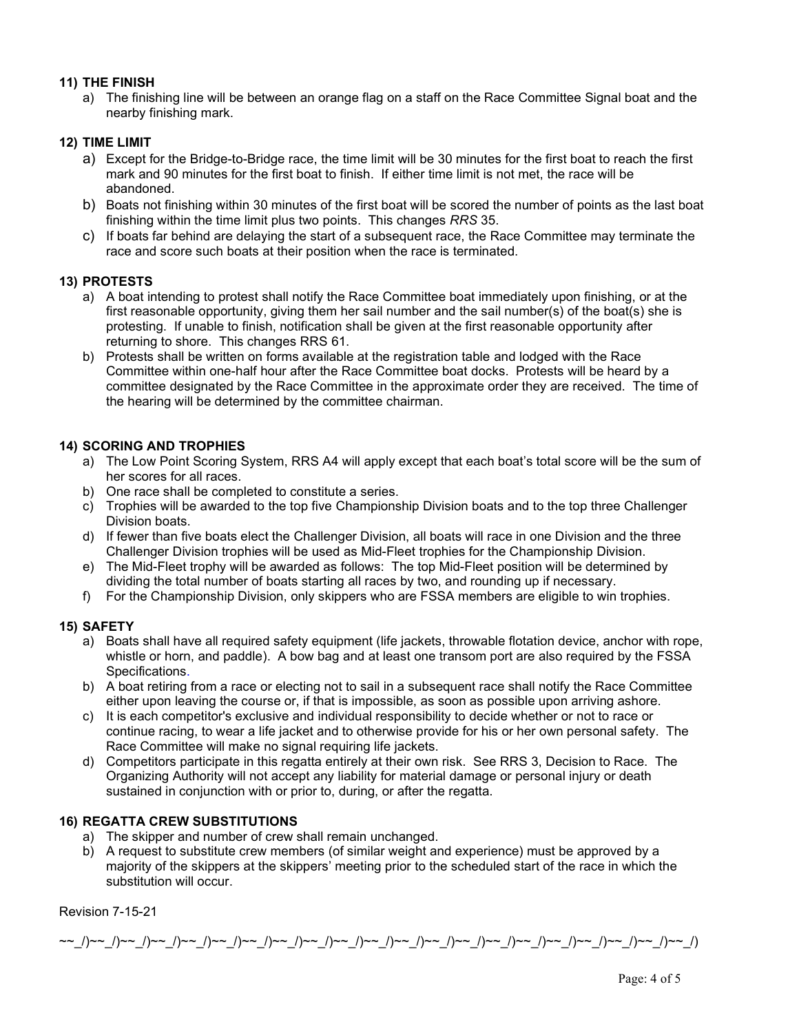### 11) THE FINISH

a) The finishing line will be between an orange flag on a staff on the Race Committee Signal boat and the nearby finishing mark.

## 12) TIME LIMIT

- a) Except for the Bridge-to-Bridge race, the time limit will be 30 minutes for the first boat to reach the first mark and 90 minutes for the first boat to finish. If either time limit is not met, the race will be abandoned.
- b) Boats not finishing within 30 minutes of the first boat will be scored the number of points as the last boat finishing within the time limit plus two points. This changes RRS 35.
- c) If boats far behind are delaying the start of a subsequent race, the Race Committee may terminate the race and score such boats at their position when the race is terminated.

## 13) PROTESTS

- a) A boat intending to protest shall notify the Race Committee boat immediately upon finishing, or at the first reasonable opportunity, giving them her sail number and the sail number(s) of the boat(s) she is protesting. If unable to finish, notification shall be given at the first reasonable opportunity after returning to shore. This changes RRS 61.
- b) Protests shall be written on forms available at the registration table and lodged with the Race Committee within one-half hour after the Race Committee boat docks. Protests will be heard by a committee designated by the Race Committee in the approximate order they are received. The time of the hearing will be determined by the committee chairman.

## 14) SCORING AND TROPHIES

- a) The Low Point Scoring System, RRS A4 will apply except that each boat's total score will be the sum of her scores for all races.
- b) One race shall be completed to constitute a series.
- c) Trophies will be awarded to the top five Championship Division boats and to the top three Challenger Division boats.
- d) If fewer than five boats elect the Challenger Division, all boats will race in one Division and the three Challenger Division trophies will be used as Mid-Fleet trophies for the Championship Division.
- e) The Mid-Fleet trophy will be awarded as follows: The top Mid-Fleet position will be determined by dividing the total number of boats starting all races by two, and rounding up if necessary.
- f) For the Championship Division, only skippers who are FSSA members are eligible to win trophies.

## 15) SAFETY

- a) Boats shall have all required safety equipment (life jackets, throwable flotation device, anchor with rope, whistle or horn, and paddle). A bow bag and at least one transom port are also required by the FSSA Specifications.
- b) A boat retiring from a race or electing not to sail in a subsequent race shall notify the Race Committee either upon leaving the course or, if that is impossible, as soon as possible upon arriving ashore.
- c) It is each competitor's exclusive and individual responsibility to decide whether or not to race or continue racing, to wear a life jacket and to otherwise provide for his or her own personal safety. The Race Committee will make no signal requiring life jackets.
- d) Competitors participate in this regatta entirely at their own risk. See RRS 3, Decision to Race. The Organizing Authority will not accept any liability for material damage or personal injury or death sustained in conjunction with or prior to, during, or after the regatta.

## 16) REGATTA CREW SUBSTITUTIONS

- a) The skipper and number of crew shall remain unchanged.
- b) A request to substitute crew members (of similar weight and experience) must be approved by a majority of the skippers at the skippers' meeting prior to the scheduled start of the race in which the substitution will occur.

## Revision 7-15-21

~~\_/)~~\_/)~~\_/)~~\_/)~~\_/)~~\_/)~~\_/)~~\_/)~~\_/)~~\_/)~~\_/)~~\_/)~~\_/)~~\_/)~~\_/)~~\_/)~~\_/)~~\_/)~~\_/)~~\_/)~~\_/)